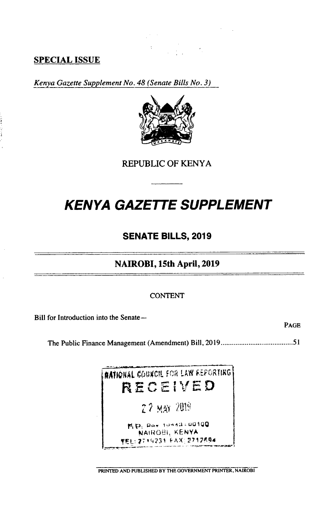# **SPECIAL ISSUE**

Kenya Gazette Supplement No. 48 (Senate Bills No. 3)



**REPUBLIC OF KENYA** 

# **KENYA GAZETTE SUPPLEMENT**

# **SENATE BILLS, 2019**

# NAIROBI, 15th April, 2019

## **CONTENT**

Bill for Introduction into the Senate-

PAGE

**NATIONAL COUNCIL FOR LAW REPORTING** RECEIVED 27 MAY 2019 **E.D.** Pox 10143-00100 NAIROBI, KENYA TEL: 2719231 FAX: 2712694

PRINTED AND PUBLISHED BY THE GOVERNMENT PRINTER, NAIROBI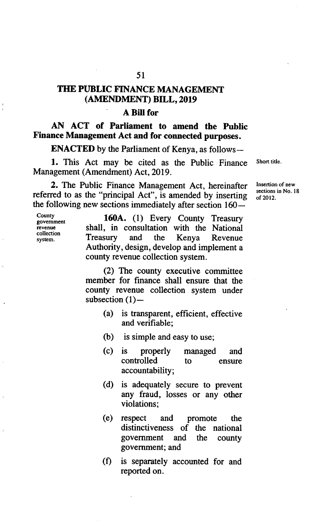## **THE PUBLIC FINANCE MANAGEMENT (AMENDMENT) BILL, 2019**

## **A Bill for**

**AN ACT of Parliament to amend the Public Finance Management Act and for connected purposes.** 

**ENACTED** by the Parliament of Kenya, as follows—

1. This Act may be cited as the Public Finance Short title. Management (Amendment) Act, 2019.

2. The Public Finance Management Act, hereinafter Insertion of new sections in No. 18 referred to as the "principal Act", is amended by inserting  $\frac{\text{sections}}{\text{of 2012}}$ the following new sections immediately after section  $160-$ 

**collection** 

**County 160A.** (1) Every County Treasury **government revenue is not venue in the National Treasury and the Kenya Revenue Treasury** and the Kenya Revenue Authority, design, develop and implement a county revenue collection system.

> (2) The county executive committee member for finance shall ensure that the county revenue collection system under subsection  $(1)$ -

- (a) is transparent, efficient, effective and verifiable;
- (b) is simple and easy to use;
- (c) is properly managed and<br>controlled to ensure controlled to ensure accountability;
- (d) is adequately secure to prevent any fraud, losses or any other violations;
- $(e)$ respect and promote the distinctiveness of the national government and the county government; and
- $(f)$ is separately accounted for and reported on.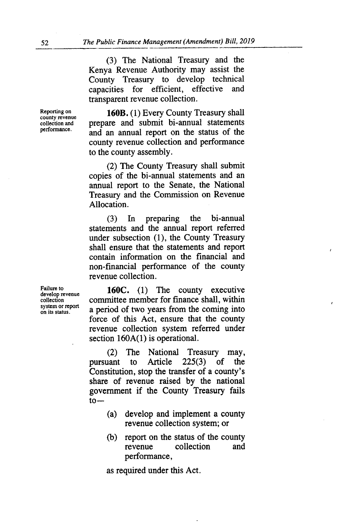(3) The National Treasury and the Kenya Revenue Authority may assist the County Treasury to develop technical capacities for efficient, effective and transparent revenue collection.

**Reporting on 160B.** (1) Every County Treasury shall **county revenue**  collection and **prepare** and submit bi-annual statements performance. and an annual report on the status of the county revenue collection and performance to the county assembly.

> (2) The County Treasury shall submit copies of the bi-annual statements and an annual report to the Senate, the National Treasury and the Commission on Revenue Allocation.

> In preparing the bi-annual  $(3)$ statements and the annual report referred under subsection (1), the County Treasury shall ensure that the statements and report contain information on the financial and non-financial performance of the county revenue collection.

Failure to **160C.** (1) The county executive collection committee member for finance shall, within committee member for finance shall, within a period of two years from the coming into force of this Act, ensure that the county revenue collection system referred under section 160A(1) is operational.

> (2) The National Treasury may, pursuant to Article 225(3) of the Constitution, stop the transfer of a county's share of revenue raised by the national government if the County Treasury fails  $to -$

- $(a)$ develop and implement a county revenue collection system; or
- report on the status of the county  $(b)$ revenue collection and performance,

as required under this Act.

**system or report**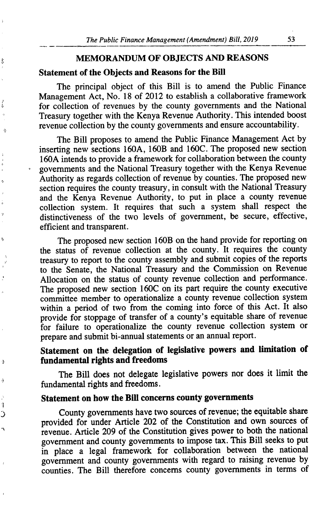#### **MEMORANDUM OF OBJECTS AND REASONS**

#### **Statement of the Objects and Reasons for the Bill**

Š

á

Ò

Ń

ð

ó

ŋ €

The principal object of this Bill is to amend the Public Finance Management Act, No. 18 of 2012 to establish a collaborative framework for collection of revenues by the county governments and the National Treasury together with the Kenya Revenue Authority. This intended boost revenue collection by the county governments and ensure accountability.

The Bill proposes to amend the Public Finance Management Act by inserting new sections 160A, 160B and 160C. The proposed new section 160A intends to provide a framework for collaboration between the county governments and the National Treasury together with the Kenya Revenue Authority as regards collection of revenue by counties. The proposed new section requires the county treasury, in consult with the National Treasury and the Kenya Revenue Authority, to put in place a county revenue collection system. It requires that such a system shall respect the distinctiveness of the two levels of government, be secure, effective, efficient and transparent.

The proposed new section 160B on the hand provide for reporting on the status of revenue collection at the county. It requires the county treasury to report to the county assembly and submit copies of the reports to the Senate, the National Treasury and the Commission on Revenue Allocation on the status of county revenue collection and performance. The proposed new section 160C on its part require the county executive committee member to operationalize a county revenue collection system within a period of two from the coming into force of this Act. It also provide for stoppage of transfer of a county's equitable share of revenue for failure to operationalize the county revenue collection system or prepare and submit bi-annual statements or an annual report.

# **Statement on the delegation of legislative powers and limitation of fundamental rights and freedoms**

The Bill does not delegate legislative powers nor does it limit the fundamental rights and freedoms.

### **Statement on how the Bifi concerns county governments**

County governments have two sources of revenue; the equitable share provided for under Article 202 of the Constitution and own sources of revenue. Article 209 of the Constitution gives power to both the national government and county governments to impose tax. This Bill seeks to put in place a legal framework for collaboration between the national government and county governments with regard to raising revenue by counties. The Bill therefore concerns county governments in terms of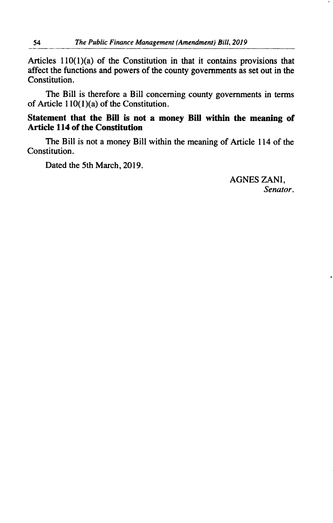Articles  $110(1)(a)$  of the Constitution in that it contains provisions that affect the functions and powers of the county governments as set out in the Constitution.

The Bill is therefore a Bill concerning county governments in terms of Article 110(1 )(a) of the Constitution.

## **Statement that the Bill is not a money Bill within the meaning of Article 114 of the Constitution**

The Bill is not a money Bill within the meaning of Article 114 of the Constitution.

Dated the *5th* March, 2019.

AGNES ZANI, *Senator.*